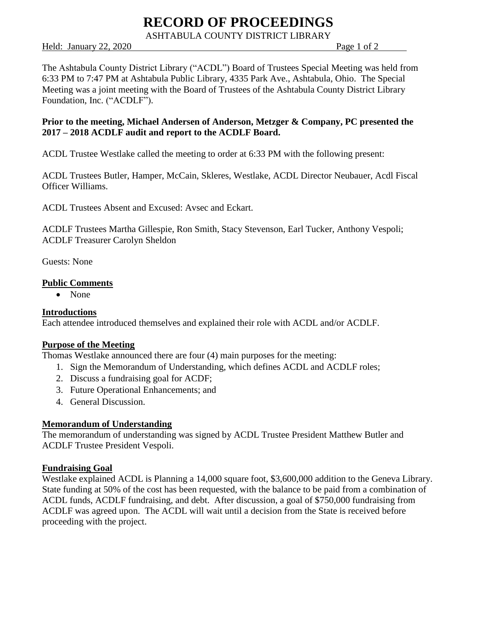# **RECORD OF PROCEEDINGS**

ASHTABULA COUNTY DISTRICT LIBRARY

Held: January 22, 2020 Page 1 of 2

The Ashtabula County District Library ("ACDL") Board of Trustees Special Meeting was held from 6:33 PM to 7:47 PM at Ashtabula Public Library, 4335 Park Ave., Ashtabula, Ohio. The Special Meeting was a joint meeting with the Board of Trustees of the Ashtabula County District Library Foundation, Inc. ("ACDLF").

### **Prior to the meeting, Michael Andersen of Anderson, Metzger & Company, PC presented the 2017 – 2018 ACDLF audit and report to the ACDLF Board.**

ACDL Trustee Westlake called the meeting to order at 6:33 PM with the following present:

ACDL Trustees Butler, Hamper, McCain, Skleres, Westlake, ACDL Director Neubauer, Acdl Fiscal Officer Williams.

ACDL Trustees Absent and Excused: Avsec and Eckart.

ACDLF Trustees Martha Gillespie, Ron Smith, Stacy Stevenson, Earl Tucker, Anthony Vespoli; ACDLF Treasurer Carolyn Sheldon

Guests: None

#### **Public Comments**

• None

#### **Introductions**

Each attendee introduced themselves and explained their role with ACDL and/or ACDLF.

#### **Purpose of the Meeting**

Thomas Westlake announced there are four (4) main purposes for the meeting:

- 1. Sign the Memorandum of Understanding, which defines ACDL and ACDLF roles;
- 2. Discuss a fundraising goal for ACDF;
- 3. Future Operational Enhancements; and
- 4. General Discussion.

#### **Memorandum of Understanding**

The memorandum of understanding was signed by ACDL Trustee President Matthew Butler and ACDLF Trustee President Vespoli.

#### **Fundraising Goal**

Westlake explained ACDL is Planning a 14,000 square foot, \$3,600,000 addition to the Geneva Library. State funding at 50% of the cost has been requested, with the balance to be paid from a combination of ACDL funds, ACDLF fundraising, and debt. After discussion, a goal of \$750,000 fundraising from ACDLF was agreed upon. The ACDL will wait until a decision from the State is received before proceeding with the project.